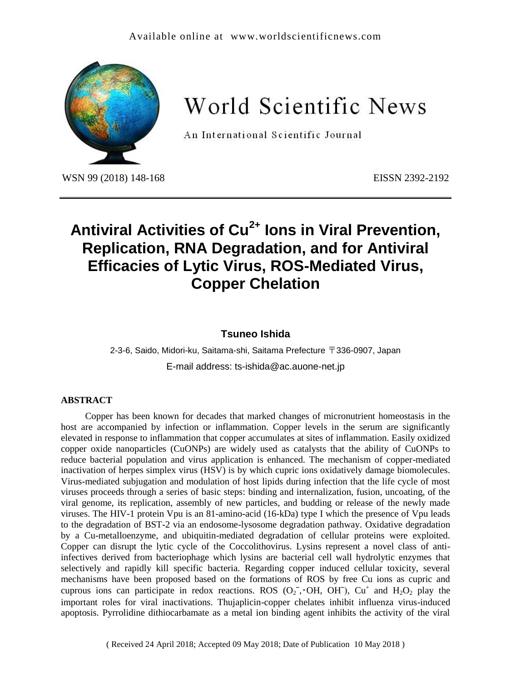#### Available online at [www.worldscientificnews.com](http://www.worldscientificnews.com/)



World Scientific News

An International Scientific Journal

WSN 99 (2018) 148-168 EISSN 2392-2192

# **Antiviral Activities of Cu2+ Ions in Viral Prevention, Replication, RNA Degradation, and for Antiviral Efficacies of Lytic Virus, ROS-Mediated Virus, Copper Chelation**

## **Tsuneo Ishida**

2-3-6, Saido, Midori-ku, Saitama-shi, Saitama Prefecture 〒336-0907, Japan E-mail address: ts-ishida@ac.auone-net.jp

#### **ABSTRACT**

Copper has been known for decades that marked changes of micronutrient homeostasis in the host are accompanied by infection or inflammation. Copper levels in the serum are significantly elevated in response to inflammation that copper accumulates at sites of inflammation. Easily oxidized copper oxide nanoparticles (CuONPs) are widely used as catalysts that the ability of CuONPs to reduce bacterial population and virus application is enhanced. The mechanism of copper-mediated inactivation of herpes simplex virus (HSV) is by which cupric ions oxidatively damage biomolecules. Virus-mediated subjugation and modulation of host lipids during infection that the life cycle of most viruses proceeds through a series of basic steps: binding and internalization, fusion, uncoating, of the viral genome, its replication, assembly of new particles, and budding or release of the newly made viruses. The HIV-1 protein Vpu is an 81-amino-acid (16-kDa) type I which the presence of Vpu leads to the degradation of BST-2 via an endosome-lysosome degradation pathway. Oxidative degradation by a Cu-metalloenzyme, and ubiquitin-mediated degradation of cellular proteins were exploited. Copper can disrupt the lytic cycle of the Coccolithovirus. Lysins represent a novel class of antiinfectives derived from bacteriophage which lysins are bacterial cell wall hydrolytic enzymes that selectively and rapidly kill specific bacteria. Regarding copper induced cellular toxicity, several mechanisms have been proposed based on the formations of ROS by free Cu ions as cupric and cuprous ions can participate in redox reactions. ROS  $(O_2^-, OH, OH)$ ,  $Cu^+$  and  $H_2O_2$  play the important roles for viral inactivations. Thujaplicin-copper chelates inhibit influenza virus-induced apoptosis. Pyrrolidine dithiocarbamate as a metal ion binding agent inhibits the activity of the viral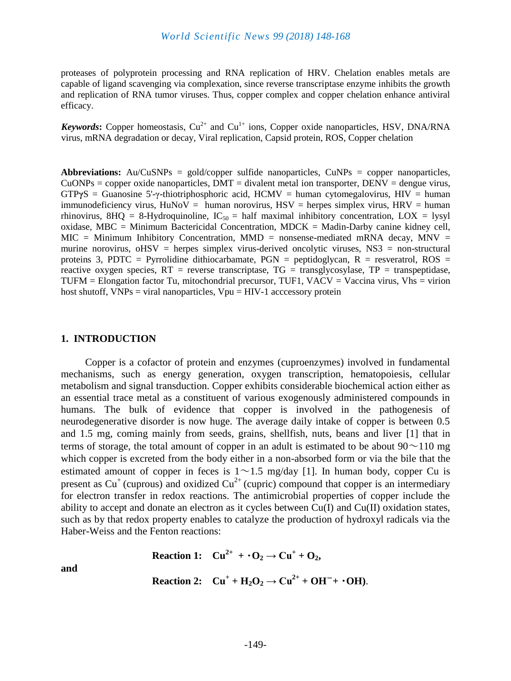proteases of polyprotein processing and RNA replication of HRV. Chelation enables metals are capable of ligand scavenging via complexation, since reverse transcriptase enzyme inhibits the growth and replication of RNA tumor viruses. Thus, copper complex and copper chelation enhance antiviral efficacy.

*Keywords*: Copper homeostasis,  $Cu^{2+}$  and  $Cu^{1+}$  ions, Copper oxide nanoparticles, HSV, DNA/RNA virus, mRNA degradation or decay, Viral replication, Capsid protein, ROS, Copper chelation

**Abbreviations:** Au/CuSNPs = gold/copper sulfide nanoparticles, CuNPs = copper nanoparticles,  $CuONPs = copper oxide nanoparticles, DMT = dividend metal ion transporter, DENV = dengue virus,$ GTP**γ**S = [Guanosine](https://www.weblio.jp/content/Guanosine) 5'-γ-thiotriphosphoric [acid,](https://www.weblio.jp/content/acid) HCMV = human cytomegalovirus, HIV = human immunodeficiency virus,  $H \cdot W =$  human norovirus,  $H \cdot W =$  herpes simplex virus,  $H \cdot W =$  human rhinovirus, 8HQ = 8-Hydroquinoline,  $IC_{50}$  = half maximal inhibitory concentration, LOX = lysyl oxidase, MBC = Minimum Bactericidal Concentration, MDCK = Madin-Darby canine kidney cell,  $MIC = Minimum Inhibitory Concentration, MMD = nonsense-mediated mRNA decay, MNV =$ murine norovirus,  $\text{oHSV}$  = herpes simplex virus-derived oncolytic viruses, NS3 = non-structural proteins 3, PDTC = Pyrrolidine dithiocarbamate,  $PGN$  = peptidoglycan,  $R$  = resveratrol,  $ROS$  = reactive oxygen species,  $RT$  = reverse transcriptase,  $TG$  = transglycosylase,  $TP$  = transpeptidase,  $TUFM =$  Elongation factor Tu, mitochondrial precursor, TUF1, VACV = Vaccina virus, Vhs = virion host shutoff,  $VNPs = viral$  nanoparticles,  $Vpu = HIV-1$  acccessory protein

#### **1. INTRODUCTION**

Copper is a cofactor of protein and enzymes (cuproenzymes) involved in fundamental mechanisms, such as energy generation, oxygen transcription, hematopoiesis, cellular metabolism and signal transduction. Copper exhibits considerable biochemical action either as an essential trace metal as a constituent of various exogenously administered compounds in humans. The bulk of evidence that copper is involved in the pathogenesis of neurodegenerative disorder is now huge. The average daily intake of copper is between 0.5 and 1.5 mg, coming mainly from seeds, grains, shellfish, nuts, beans and liver [1] that in terms of storage, the total amount of copper in an adult is estimated to be about  $90\sim110$  mg which copper is excreted from the body either in a non-absorbed form or via the bile that the estimated amount of copper in feces is  $1 \sim 1.5$  mg/day [1]. In human body, copper Cu is present as  $Cu^+$  (cuprous) and oxidized  $Cu^{2+}$  (cupric) compound that copper is an intermediary for electron transfer in redox reactions. The antimicrobial properties of copper include the ability to accept and donate an electron as it cycles between Cu(I) and Cu(II) oxidation states, such as by that redox property enables to catalyze the production of hydroxyl radicals via the Haber-Weiss and the Fenton reactions:

$$
Reaction 1: Cu2+ + O2 \rightarrow Cu+ + O2,
$$

**and**

$$
Reaction 2: Cu^+ + H_2O_2 \rightarrow Cu^{2+} + OH^- + \cdot OH).
$$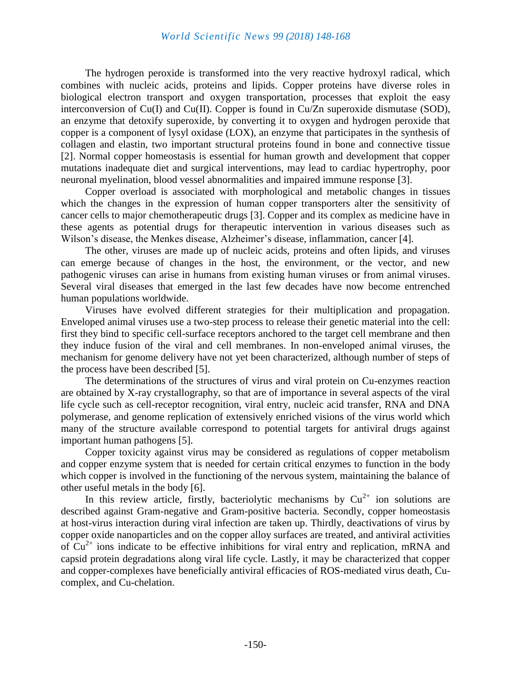The hydrogen peroxide is transformed into the very reactive hydroxyl radical, which combines with nucleic acids, proteins and lipids. Copper proteins have diverse roles in biological electron transport and oxygen transportation, processes that exploit the easy interconversion of Cu(I) and Cu(II). Copper is found in Cu/Zn superoxide dismutase (SOD), an enzyme that detoxify superoxide, by converting it to oxygen and hydrogen peroxide that copper is a component of lysyl oxidase (LOX), an enzyme that participates in the synthesis of collagen and elastin, two important structural proteins found in bone and connective tissue [2]. Normal copper homeostasis is essential for human growth and development that copper mutations inadequate diet and surgical interventions, may lead to cardiac hypertrophy, poor neuronal myelination, blood vessel abnormalities and impaired immune response [3].

Copper overload is associated with morphological and metabolic changes in tissues which the changes in the expression of human copper transporters alter the sensitivity of cancer cells to major chemotherapeutic drugs [3]. Copper and its complex as medicine have in these agents as potential drugs for therapeutic intervention in various diseases such as Wilson's disease, the Menkes disease, Alzheimer's disease, inflammation, cancer [4].

The other, viruses are made up of nucleic acids, proteins and often lipids, and viruses can emerge because of changes in the host, the environment, or the vector, and new pathogenic viruses can arise in humans from existing human viruses or from animal viruses. Several viral diseases that emerged in the last few decades have now become entrenched human populations worldwide.

Viruses have evolved different strategies for their multiplication and propagation. Enveloped animal viruses use a two-step process to release their genetic material into the cell: first they bind to specific cell-surface receptors anchored to the target cell membrane and then they induce fusion of the viral and cell membranes. In non-enveloped animal viruses, the mechanism for genome delivery have not yet been characterized, although number of steps of the process have been described [5].

The determinations of the structures of virus and viral protein on Cu-enzymes reaction are obtained by X-ray crystallography, so that are of importance in several aspects of the viral life cycle such as cell-receptor recognition, viral entry, nucleic acid transfer, RNA and DNA polymerase, and genome replication of extensively enriched visions of the virus world which many of the structure available correspond to potential targets for antiviral drugs against important human pathogens [5].

Copper toxicity against virus may be considered as regulations of copper metabolism and copper enzyme system that is needed for certain critical enzymes to function in the body which copper is involved in the functioning of the nervous system, maintaining the balance of other useful metals in the body [6].

In this review article, firstly, bacteriolytic mechanisms by  $Cu^{2+}$  ion solutions are described against Gram-negative and Gram-positive bacteria. Secondly, copper homeostasis at host-virus interaction during viral infection are taken up. Thirdly, deactivations of virus by copper oxide nanoparticles and on the copper alloy surfaces are treated, and antiviral activities of  $Cu<sup>2+</sup>$  ions indicate to be effective inhibitions for viral entry and replication, mRNA and capsid protein degradations along viral life cycle. Lastly, it may be characterized that copper and copper-complexes have beneficially antiviral efficacies of ROS-mediated virus death, Cucomplex, and Cu-chelation.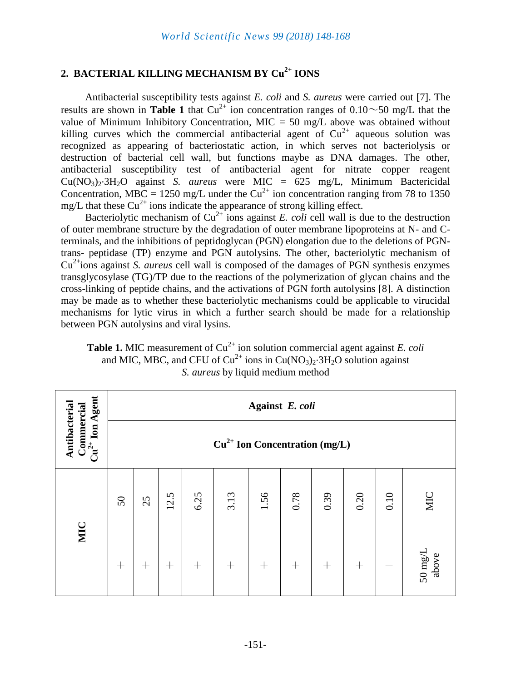# **2. BACTERIAL KILLING MECHANISM BY Cu 2+ IONS**

Antibacterial susceptibility tests against *E. coli* and *S. aureus* were carried out [7]. The results are shown in **Table 1** that  $Cu^{2+}$  ion concentration ranges of  $0.10 \sim 50$  mg/L that the value of Minimum Inhibitory Concentration, MIC  $=$  50 mg/L above was obtained without killing curves which the commercial antibacterial agent of  $Cu^{2+}$  aqueous solution was recognized as appearing of bacteriostatic action, in which serves not bacteriolysis or destruction of bacterial cell wall, but functions maybe as DNA damages. The other, antibacterial susceptibility test of antibacterial agent for nitrate copper reagent Cu(NO3)2·3H2O against *S. aureus* were MIC = 625 mg/L, Minimum Bactericidal Concentration, MBC = 1250 mg/L under the  $Cu^{2+}$  ion concentration ranging from 78 to 1350 mg/L that these  $Cu^{2+}$  ions indicate the appearance of strong killing effect.

Bacteriolytic mechanism of  $Cu^{2+}$  ions against *E. coli* cell wall is due to the destruction of outer membrane structure by the degradation of outer membrane lipoproteins at N- and Cterminals, and the inhibitions of peptidoglycan (PGN) elongation due to the deletions of PGNtrans- peptidase (TP) enzyme and PGN autolysins. The other, bacteriolytic mechanism of Cu2+ions against *S. aureus* cell wall is composed of the damages of PGN synthesis enzymes transglycosylase (TG)/TP due to the reactions of the polymerization of glycan chains and the cross-linking of peptide chains, and the activations of PGN forth autolysins [8]. A distinction may be made as to whether these bacteriolytic mechanisms could be applicable to virucidal mechanisms for lytic virus in which a further search should be made for a relationship between PGN autolysins and viral lysins.

**Table 1.** MIC measurement of  $Cu^{2+}$  ion solution commercial agent against *E. coli* and MIC, MBC, and CFU of  $Cu^{2+}$  ions in  $Cu(NO<sub>3</sub>)<sub>2</sub>·3H<sub>2</sub>O$  solution against *S. aureus* by liquid medium method

| Ion Agent                                         | Against E. coli                 |                    |        |        |                    |        |        |        |                    |        |                         |
|---------------------------------------------------|---------------------------------|--------------------|--------|--------|--------------------|--------|--------|--------|--------------------|--------|-------------------------|
| Antibacterial<br>Commercial<br>$\mathrm{Cu}^{2+}$ | $Cu2+$ Ion Concentration (mg/L) |                    |        |        |                    |        |        |        |                    |        |                         |
| MIC                                               | 50                              | 25                 | 12.5   | 6.25   | 3.13               | 1.56   | 0.78   | 0.39   | 0.20               | 0.10   | MIC                     |
|                                                   | $^{+}$                          | $\hspace{0.1mm} +$ | $^{+}$ | $^{+}$ | $\hspace{0.1mm} +$ | $^{+}$ | $^{+}$ | $^{+}$ | $\hspace{0.1mm} +$ | $^{+}$ | $50 \text{ mg/L}$ above |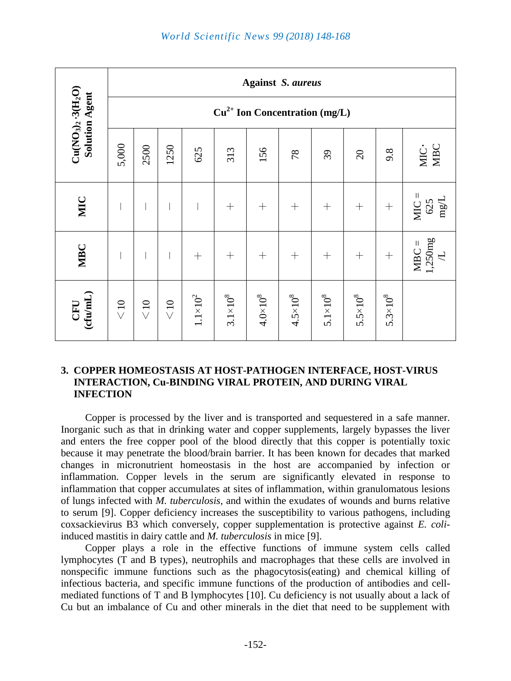|                                                  | <b>Against S. aureus</b>        |                 |                 |                   |                     |                   |                   |                     |                     |                     |                                        |
|--------------------------------------------------|---------------------------------|-----------------|-----------------|-------------------|---------------------|-------------------|-------------------|---------------------|---------------------|---------------------|----------------------------------------|
|                                                  | $Cu2+$ Ion Concentration (mg/L) |                 |                 |                   |                     |                   |                   |                     |                     |                     |                                        |
| $Cu(NO3)2 \cdot 3(H2O)$<br><b>Solution Agent</b> | 5,000                           | 2500            | 1250            | 625               | 313                 | 156               | 78                | 39                  | $\overline{c}$      | 9.8                 | MIC·<br>MBC                            |
| MIC                                              |                                 |                 |                 |                   | $+$                 | $^{+}$            | $^{+}$            | $^{+}$              | $^{+}$              | $^{+}$              | $MIC =$<br>$\frac{625}{mg/L}$          |
| <b>MBC</b>                                       |                                 |                 |                 | $+$               | $+$                 | $+$               | $^{+}$            | $+$                 | $^{+}$              | $^{+}$              | $\frac{1,250 \text{mg}}{L}$<br>$MBC =$ |
| $\frac{\text{CPU}}{\text{cftu/mL}}$              | $\leq$ 10                       | $\leqslant\!10$ | $\leqslant\!10$ | $1.1{\times}10^2$ | $3.1 \times 10^{8}$ | $4.0\times10^{8}$ | $4.5 \times 10^8$ | $5.1 \times 10^{8}$ | $5.5 \times 10^{8}$ | $5.3 \times 10^{8}$ |                                        |

## **3. COPPER HOMEOSTASIS AT HOST-PATHOGEN INTERFACE, HOST-VIRUS INTERACTION, Cu-BINDING VIRAL PROTEIN, AND DURING VIRAL INFECTION**

Copper is processed by the liver and is transported and sequestered in a safe manner. Inorganic such as that in drinking water and copper supplements, largely bypasses the liver and enters the free copper pool of the blood directly that this copper is potentially toxic because it may penetrate the blood/brain barrier. It has been known for decades that marked changes in micronutrient homeostasis in the host are accompanied by infection or inflammation. Copper levels in the serum are significantly elevated in response to inflammation that copper accumulates at sites of inflammation, within granulomatous lesions of lungs infected with *M. tuberculosis*, and within the exudates of wounds and burns relative to serum [9]. Copper deficiency increases the susceptibility to various pathogens, including coxsackievirus B3 which conversely, copper supplementation is protective against *E. coli*induced mastitis in dairy cattle and *M. tuberculosis* in mice [9].

Copper plays a role in the effective functions of immune system cells called lymphocytes (T and B types), neutrophils and macrophages that these cells are involved in nonspecific immune functions such as the phagocytosis(eating) and chemical killing of infectious bacteria, and specific immune functions of the production of antibodies and cellmediated functions of T and B lymphocytes [10]. Cu deficiency is not usually about a lack of Cu but an imbalance of Cu and other minerals in the diet that need to be supplement with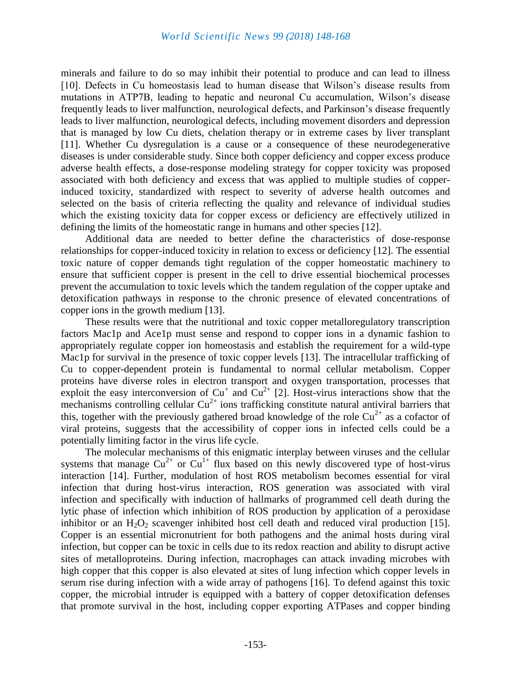minerals and failure to do so may inhibit their potential to produce and can lead to illness [10]. Defects in Cu homeostasis lead to human disease that Wilson's disease results from mutations in ATP7B, leading to hepatic and neuronal Cu accumulation, Wilson's disease frequently leads to liver malfunction, neurological defects, and Parkinson's disease frequently leads to liver malfunction, neurological defects, including movement disorders and depression that is managed by low Cu diets, chelation therapy or in extreme cases by liver transplant [11]. Whether Cu dysregulation is a cause or a consequence of these neurodegenerative diseases is under considerable study. Since both copper deficiency and copper excess produce adverse health effects, a dose-response modeling strategy for copper toxicity was proposed associated with both deficiency and excess that was applied to multiple studies of copperinduced toxicity, standardized with respect to severity of adverse health outcomes and selected on the basis of criteria reflecting the quality and relevance of individual studies which the existing toxicity data for copper excess or deficiency are effectively utilized in defining the limits of the homeostatic range in humans and other species [12].

Additional data are needed to better define the characteristics of dose-response relationships for copper-induced toxicity in relation to excess or deficiency [12]. The essential toxic nature of copper demands tight regulation of the copper homeostatic machinery to ensure that sufficient copper is present in the cell to drive essential biochemical processes prevent the accumulation to toxic levels which the tandem regulation of the copper uptake and detoxification pathways in response to the chronic presence of elevated concentrations of copper ions in the growth medium [13].

These results were that the nutritional and toxic copper metalloregulatory transcription factors Mac1p and Ace1p must sense and respond to copper ions in a dynamic fashion to appropriately regulate copper ion homeostasis and establish the requirement for a wild-type Mac1p for survival in the presence of toxic copper levels [13]. The intracellular trafficking of Cu to copper-dependent protein is fundamental to normal cellular metabolism. Copper proteins have diverse roles in electron transport and oxygen transportation, processes that exploit the easy interconversion of  $Cu^+$  and  $Cu^{2+}$  [2]. Host-virus interactions show that the mechanisms controlling cellular  $Cu^{2+}$  ions trafficking constitute natural antiviral barriers that this, together with the previously gathered broad knowledge of the role  $Cu^{2+}$  as a cofactor of viral proteins, suggests that the accessibility of copper ions in infected cells could be a potentially limiting factor in the virus life cycle.

The molecular mechanisms of this enigmatic interplay between viruses and the cellular systems that manage  $Cu^{2+}$  or  $Cu^{1+}$  flux based on this newly discovered type of host-virus interaction [14]. Further, modulation of host ROS metabolism becomes essential for viral infection that during host-virus interaction, ROS generation was associated with viral infection and specifically with induction of hallmarks of programmed cell death during the lytic phase of infection which inhibition of ROS production by application of a peroxidase inhibitor or an  $H_2O_2$  scavenger inhibited host cell death and reduced viral production [15]. Copper is an essential micronutrient for both pathogens and the animal hosts during viral infection, but copper can be toxic in cells due to its redox reaction and ability to disrupt active sites of metalloproteins. During infection, macrophages can attack invading microbes with high copper that this copper is also elevated at sites of lung infection which copper levels in serum rise during infection with a wide array of pathogens [16]. To defend against this toxic copper, the microbial intruder is equipped with a battery of copper detoxification defenses that promote survival in the host, including copper exporting ATPases and copper binding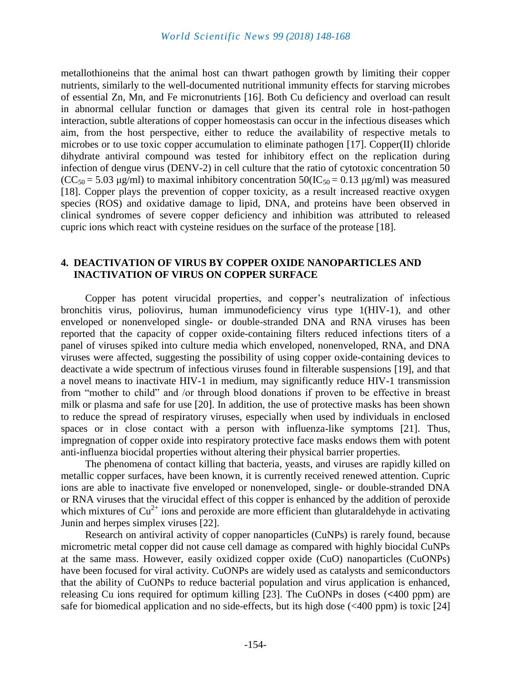metallothioneins that the animal host can thwart pathogen growth by limiting their copper nutrients, similarly to the well-documented nutritional immunity effects for starving microbes of essential Zn, Mn, and Fe micronutrients [16]. Both Cu deficiency and overload can result in abnormal cellular function or damages that given its central role in host-pathogen interaction, subtle alterations of copper homeostasis can occur in the infectious diseases which aim, from the host perspective, either to reduce the availability of respective metals to microbes or to use toxic copper accumulation to eliminate pathogen [17]. Copper(II) chloride dihydrate antiviral compound was tested for inhibitory effect on the replication during infection of dengue virus (DENV-2) in cell culture that the ratio of cytotoxic concentration 50  $(CC<sub>50</sub> = 5.03 \mu g/ml)$  to maximal inhibitory concentration  $50(IC<sub>50</sub> = 0.13 \mu g/ml)$  was measured [18]. Copper plays the prevention of copper toxicity, as a result increased reactive oxygen species (ROS) and oxidative damage to lipid, DNA, and proteins have been observed in clinical syndromes of severe copper deficiency and inhibition was attributed to released cupric ions which react with cysteine residues on the surface of the protease [18].

#### **4. DEACTIVATION OF VIRUS BY COPPER OXIDE NANOPARTICLES AND INACTIVATION OF VIRUS ON COPPER SURFACE**

Copper has potent virucidal properties, and copper's neutralization of infectious bronchitis virus, poliovirus, human immunodeficiency virus type 1(HIV-1), and other enveloped or nonenveloped single- or double-stranded DNA and RNA viruses has been reported that the capacity of copper oxide-containing filters reduced infections titers of a panel of viruses spiked into culture media which enveloped, nonenveloped, RNA, and DNA viruses were affected, suggesting the possibility of using copper oxide-containing devices to deactivate a wide spectrum of infectious viruses found in filterable suspensions [19], and that a novel means to inactivate HIV-1 in medium, may significantly reduce HIV-1 transmission from "mother to child" and /or through blood donations if proven to be effective in breast milk or plasma and safe for use [20]. In addition, the use of protective masks has been shown to reduce the spread of respiratory viruses, especially when used by individuals in enclosed spaces or in close contact with a person with influenza-like symptoms [21]. Thus, impregnation of copper oxide into respiratory protective face masks endows them with potent anti-influenza biocidal properties without altering their physical barrier properties.

The phenomena of contact killing that bacteria, yeasts, and viruses are rapidly killed on metallic copper surfaces, have been known, it is currently received renewed attention. Cupric ions are able to inactivate five enveloped or nonenveloped, single- or double-stranded DNA or RNA viruses that the virucidal effect of this copper is enhanced by the addition of peroxide which mixtures of  $Cu^{2+}$  ions and peroxide are more efficient than glutaraldehyde in activating Junin and herpes simplex viruses [22].

Research on antiviral activity of copper nanoparticles (CuNPs) is rarely found, because micrometric metal copper did not cause cell damage as compared with highly biocidal CuNPs at the same mass. However, easily oxidized copper oxide (CuO) nanoparticles (CuONPs) have been focused for viral activity. CuONPs are widely used as catalysts and semiconductors that the ability of CuONPs to reduce bacterial population and virus application is enhanced, releasing Cu ions required for optimum killing [23]. The CuONPs in doses (**<**400 ppm) are safe for biomedical application and no side-effects, but its high dose  $(\leq 400 \text{ ppm})$  is toxic [24]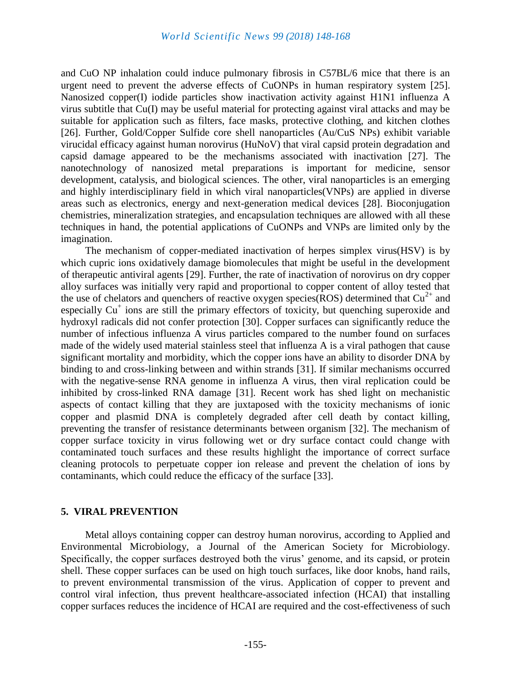and CuO NP inhalation could induce pulmonary fibrosis in C57BL/6 mice that there is an urgent need to prevent the adverse effects of CuONPs in human respiratory system [25]. Nanosized copper(I) iodide particles show inactivation activity against H1N1 influenza A virus subtitle that Cu(I) may be useful material for protecting against viral attacks and may be suitable for application such as filters, face masks, protective clothing, and kitchen clothes [26]. Further, Gold/Copper Sulfide core shell nanoparticles (Au/CuS NPs) exhibit variable virucidal efficacy against human norovirus (HuNoV) that viral capsid protein degradation and capsid damage appeared to be the mechanisms associated with inactivation [27]. The nanotechnology of nanosized metal preparations is important for medicine, sensor development, catalysis, and biological sciences. The other, viral nanoparticles is an emerging and highly interdisciplinary field in which viral nanoparticles(VNPs) are applied in diverse areas such as electronics, energy and next-generation medical devices [28]. Bioconjugation chemistries, mineralization strategies, and encapsulation techniques are allowed with all these techniques in hand, the potential applications of CuONPs and VNPs are limited only by the imagination.

The mechanism of copper-mediated inactivation of herpes simplex virus(HSV) is by which cupric ions oxidatively damage biomolecules that might be useful in the development of therapeutic antiviral agents [29]. Further, the rate of inactivation of norovirus on dry copper alloy surfaces was initially very rapid and proportional to copper content of alloy tested that the use of chelators and quenchers of reactive oxygen species (ROS) determined that  $Cu^{2+}$  and especially Cu<sup>+</sup> ions are still the primary effectors of toxicity, but quenching superoxide and hydroxyl radicals did not confer protection [30]. Copper surfaces can significantly reduce the number of infectious influenza A virus particles compared to the number found on surfaces made of the widely used material stainless steel that influenza A is a viral pathogen that cause significant mortality and morbidity, which the copper ions have an ability to disorder DNA by binding to and cross-linking between and within strands [31]. If similar mechanisms occurred with the negative-sense RNA genome in influenza A virus, then viral replication could be inhibited by cross-linked RNA damage [31]. Recent work has shed light on mechanistic aspects of contact killing that they are juxtaposed with the toxicity mechanisms of ionic copper and plasmid DNA is completely degraded after cell death by contact killing, preventing the transfer of resistance determinants between organism [32]. The mechanism of copper surface toxicity in virus following wet or dry surface contact could change with contaminated touch surfaces and these results highlight the importance of correct surface cleaning protocols to perpetuate copper ion release and prevent the chelation of ions by contaminants, which could reduce the efficacy of the surface [33].

## **5. VIRAL PREVENTION**

Metal alloys containing copper can destroy human norovirus, according to Applied and Environmental Microbiology, a Journal of the American Society for Microbiology. Specifically, the copper surfaces destroyed both the virus' genome, and its capsid, or protein shell. These copper surfaces can be used on high touch surfaces, like door knobs, hand rails, to prevent environmental transmission of the virus. Application of copper to prevent and control viral infection, thus prevent healthcare-associated infection (HCAI) that installing copper surfaces reduces the incidence of HCAI are required and the cost-effectiveness of such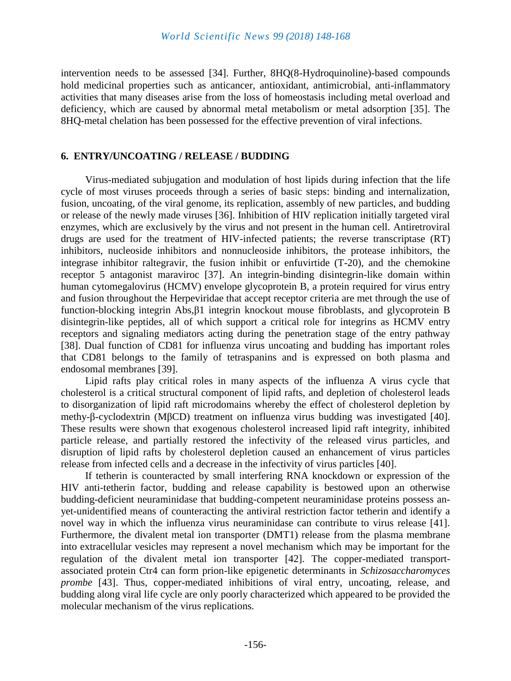intervention needs to be assessed [34]. Further, 8HQ(8-Hydroquinoline)-based compounds hold medicinal properties such as anticancer, antioxidant, antimicrobial, anti-inflammatory activities that many diseases arise from the loss of homeostasis including metal overload and deficiency, which are caused by abnormal metal metabolism or metal adsorption [35]. The 8HQ-metal chelation has been possessed for the effective prevention of viral infections.

## **6. ENTRY/UNCOATING / RELEASE / BUDDING**

Virus-mediated subjugation and modulation of host lipids during infection that the life cycle of most viruses proceeds through a series of basic steps: binding and internalization, fusion, uncoating, of the viral genome, its replication, assembly of new particles, and budding or release of the newly made viruses [36]. Inhibition of HIV replication initially targeted viral enzymes, which are exclusively by the virus and not present in the human cell. Antiretroviral drugs are used for the treatment of HIV-infected patients; the reverse transcriptase (RT) inhibitors, nucleoside inhibitors and nonnucleoside inhibitors, the protease inhibitors, the integrase inhibitor raltegravir, the fusion inhibit or enfuvirtide (T-20), and the chemokine receptor 5 antagonist maraviroc [37]. An integrin-binding disintegrin-like domain within human cytomegalovirus (HCMV) envelope glycoprotein B, a protein required for virus entry and fusion throughout the Herpeviridae that accept receptor criteria are met through the use of function-blocking integrin Abs,β1 integrin knockout mouse fibroblasts, and glycoprotein B disintegrin-like peptides, all of which support a critical role for integrins as HCMV entry receptors and signaling mediators acting during the penetration stage of the entry pathway [38]. Dual function of CD81 for influenza virus uncoating and budding has important roles that CD81 belongs to the family of tetraspanins and is expressed on both plasma and endosomal membranes [39].

Lipid rafts play critical roles in many aspects of the influenza A virus cycle that cholesterol is a critical structural component of lipid rafts, and depletion of cholesterol leads to disorganization of lipid raft microdomains whereby the effect of cholesterol depletion by methy-β-cyclodextrin (MβCD) treatment on influenza virus budding was investigated [40]. These results were shown that exogenous cholesterol increased lipid raft integrity, inhibited particle release, and partially restored the infectivity of the released virus particles, and disruption of lipid rafts by cholesterol depletion caused an enhancement of virus particles release from infected cells and a decrease in the infectivity of virus particles [40].

If tetherin is counteracted by small interfering RNA knockdown or expression of the HIV anti-tetherin factor, budding and release capability is bestowed upon an otherwise budding-deficient neuraminidase that budding-competent neuraminidase proteins possess anyet-unidentified means of counteracting the antiviral restriction factor tetherin and identify a novel way in which the influenza virus neuraminidase can contribute to virus release [41]. Furthermore, the divalent metal ion transporter (DMT1) release from the plasma membrane into extracellular vesicles may represent a novel mechanism which may be important for the regulation of the divalent metal ion transporter [42]. The copper-mediated transportassociated protein Ctr4 can form prion-like epigenetic determinants in *Schizosaccharomyces prombe* [43]. Thus, copper-mediated inhibitions of viral entry, uncoating, release, and budding along viral life cycle are only poorly characterized which appeared to be provided the molecular mechanism of the virus replications.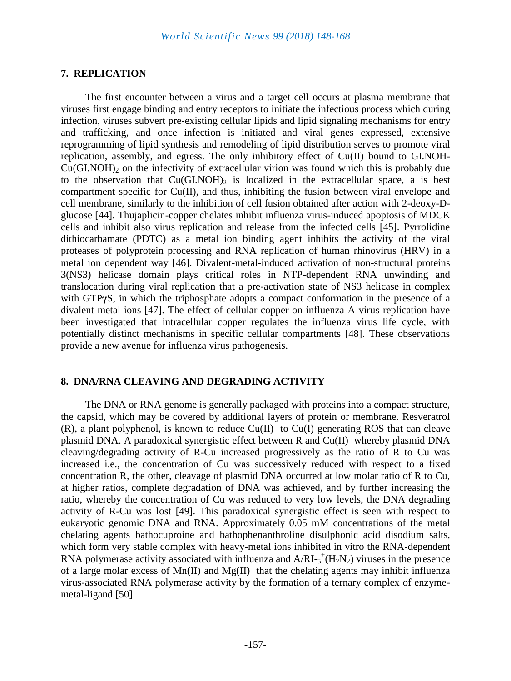## **7. REPLICATION**

The first encounter between a virus and a target cell occurs at plasma membrane that viruses first engage binding and entry receptors to initiate the infectious process which during infection, viruses subvert pre-existing cellular lipids and lipid signaling mechanisms for entry and trafficking, and once infection is initiated and viral genes expressed, extensive reprogramming of lipid synthesis and remodeling of lipid distribution serves to promote viral replication, assembly, and egress. The only inhibitory effect of Cu(II) bound to GI.NOH- $Cu(GI.NOH)$ <sub>2</sub> on the infectivity of extracellular virion was found which this is probably due to the observation that  $Cu(GI.NOH)$ <sub>2</sub> is localized in the extracellular space, a is best compartment specific for Cu(II), and thus, inhibiting the fusion between viral envelope and cell membrane, similarly to the inhibition of cell fusion obtained after action with 2-deoxy-Dglucose [44]. Thujaplicin-copper chelates inhibit influenza virus-induced apoptosis of MDCK cells and inhibit also virus replication and release from the infected cells [45]. Pyrrolidine dithiocarbamate (PDTC) as a metal ion binding agent inhibits the activity of the viral proteases of polyprotein processing and RNA replication of human rhinovirus (HRV) in a metal ion dependent way [46]. Divalent-metal-induced activation of non-structural proteins 3(NS3) helicase domain plays critical roles in NTP-dependent RNA unwinding and translocation during viral replication that a pre-activation state of NS3 helicase in complex with GTPγS, in which the triphosphate adopts a compact conformation in the presence of a divalent metal ions [47]. The effect of cellular copper on influenza A virus replication have been investigated that intracellular copper regulates the influenza virus life cycle, with potentially distinct mechanisms in specific cellular compartments [48]. These observations provide a new avenue for influenza virus pathogenesis.

## **8. DNA/RNA CLEAVING AND DEGRADING ACTIVITY**

The DNA or RNA genome is generally packaged with proteins into a compact structure, the capsid, which may be covered by additional layers of protein or membrane. Resveratrol (R), a plant polyphenol, is known to reduce Cu(II) to Cu(I) generating ROS that can cleave plasmid DNA. A paradoxical synergistic effect between R and Cu(II) whereby plasmid DNA cleaving/degrading activity of R-Cu increased progressively as the ratio of R to Cu was increased i.e., the concentration of Cu was successively reduced with respect to a fixed concentration R, the other, cleavage of plasmid DNA occurred at low molar ratio of R to Cu, at higher ratios, complete degradation of DNA was achieved, and by further increasing the ratio, whereby the concentration of Cu was reduced to very low levels, the DNA degrading activity of R-Cu was lost [49]. This paradoxical synergistic effect is seen with respect to eukaryotic genomic DNA and RNA. Approximately 0.05 mM concentrations of the metal chelating agents bathocuproine and bathophenanthroline disulphonic acid disodium salts, which form very stable complex with heavy-metal ions inhibited in vitro the RNA-dependent RNA polymerase activity associated with influenza and  $A/RI - s^+(H_2N_2)$  viruses in the presence of a large molar excess of  $Mn(II)$  and  $Mg(II)$  that the chelating agents may inhibit influenza virus-associated RNA polymerase activity by the formation of a ternary complex of enzymemetal-ligand [50].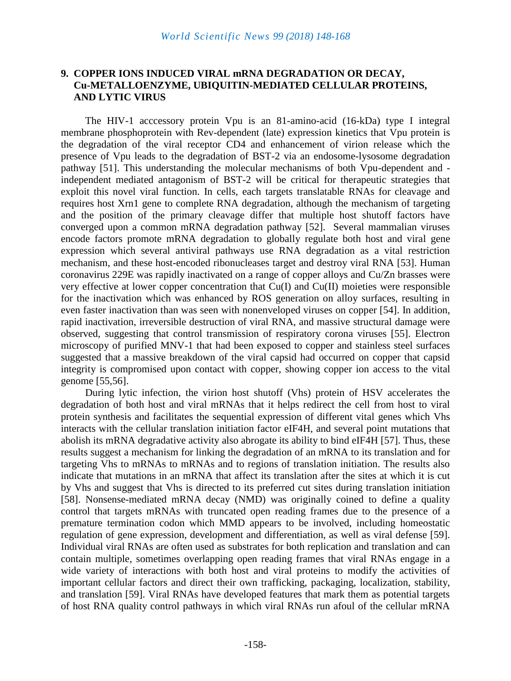#### **9. COPPER IONS INDUCED VIRAL mRNA DEGRADATION OR DECAY, Cu-METALLOENZYME, UBIQUITIN-MEDIATED CELLULAR PROTEINS, AND LYTIC VIRUS**

The HIV-1 acccessory protein Vpu is an 81-amino-acid (16-kDa) type I integral membrane phosphoprotein with Rev-dependent (late) expression kinetics that Vpu protein is the degradation of the viral receptor CD4 and enhancement of virion release which the presence of Vpu leads to the degradation of BST-2 via an endosome-lysosome degradation pathway [51]. This understanding the molecular mechanisms of both Vpu-dependent and independent mediated antagonism of BST-2 will be critical for therapeutic strategies that exploit this novel viral function. In cells, each targets translatable RNAs for cleavage and requires host Xrn1 gene to complete RNA degradation, although the mechanism of targeting and the position of the primary cleavage differ that multiple host shutoff factors have converged upon a common mRNA degradation pathway [52]. Several mammalian viruses encode factors promote mRNA degradation to globally regulate both host and viral gene expression which several antiviral pathways use RNA degradation as a vital restriction mechanism, and these host-encoded ribonucleases target and destroy viral RNA [53]. Human coronavirus 229E was rapidly inactivated on a range of copper alloys and Cu/Zn brasses were very effective at lower copper concentration that Cu(I) and Cu(II) moieties were responsible for the inactivation which was enhanced by ROS generation on alloy surfaces, resulting in even faster inactivation than was seen with nonenveloped viruses on copper [54]. In addition, rapid inactivation, irreversible destruction of viral RNA, and massive structural damage were observed, suggesting that control transmission of respiratory corona viruses [55]. Electron microscopy of purified MNV-1 that had been exposed to copper and stainless steel surfaces suggested that a massive breakdown of the viral capsid had occurred on copper that capsid integrity is compromised upon contact with copper, showing copper ion access to the vital genome [55,56].

During lytic infection, the virion host shutoff (Vhs) protein of HSV accelerates the degradation of both host and viral mRNAs that it helps redirect the cell from host to viral protein synthesis and facilitates the sequential expression of different vital genes which Vhs interacts with the cellular translation initiation factor eIF4H, and several point mutations that abolish its mRNA degradative activity also abrogate its ability to bind eIF4H [57]. Thus, these results suggest a mechanism for linking the degradation of an mRNA to its translation and for targeting Vhs to mRNAs to mRNAs and to regions of translation initiation. The results also indicate that mutations in an mRNA that affect its translation after the sites at which it is cut by Vhs and suggest that Vhs is directed to its preferred cut sites during translation initiation [58]. Nonsense-mediated mRNA decay (NMD) was originally coined to define a quality control that targets mRNAs with truncated open reading frames due to the presence of a premature termination codon which MMD appears to be involved, including homeostatic regulation of gene expression, development and differentiation, as well as viral defense [59]. Individual viral RNAs are often used as substrates for both replication and translation and can contain multiple, sometimes overlapping open reading frames that viral RNAs engage in a wide variety of interactions with both host and viral proteins to modify the activities of important cellular factors and direct their own trafficking, packaging, localization, stability, and translation [59]. Viral RNAs have developed features that mark them as potential targets of host RNA quality control pathways in which viral RNAs run afoul of the cellular mRNA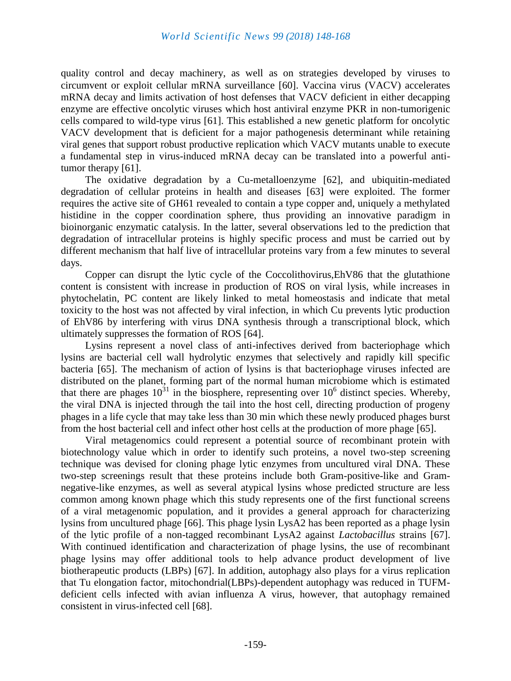quality control and decay machinery, as well as on strategies developed by viruses to circumvent or exploit cellular mRNA surveillance [60]. Vaccina virus (VACV) accelerates mRNA decay and limits activation of host defenses that VACV deficient in either decapping enzyme are effective oncolytic viruses which host antiviral enzyme PKR in non-tumorigenic cells compared to wild-type virus [61]. This established a new genetic platform for oncolytic VACV development that is deficient for a major pathogenesis determinant while retaining viral genes that support robust productive replication which VACV mutants unable to execute a fundamental step in virus-induced mRNA decay can be translated into a powerful antitumor therapy [61].

The oxidative degradation by a Cu-metalloenzyme [62], and ubiquitin-mediated degradation of cellular proteins in health and diseases [63] were exploited. The former requires the active site of GH61 revealed to contain a type copper and, uniquely a methylated histidine in the copper coordination sphere, thus providing an innovative paradigm in bioinorganic enzymatic catalysis. In the latter, several observations led to the prediction that degradation of intracellular proteins is highly specific process and must be carried out by different mechanism that half live of intracellular proteins vary from a few minutes to several days.

Copper can disrupt the lytic cycle of the Coccolithovirus,EhV86 that the glutathione content is consistent with increase in production of ROS on viral lysis, while increases in phytochelatin, PC content are likely linked to metal homeostasis and indicate that metal toxicity to the host was not affected by viral infection, in which Cu prevents lytic production of EhV86 by interfering with virus DNA synthesis through a transcriptional block, which ultimately suppresses the formation of ROS [64].

Lysins represent a novel class of anti-infectives derived from bacteriophage which lysins are bacterial cell wall hydrolytic enzymes that selectively and rapidly kill specific bacteria [65]. The mechanism of action of lysins is that bacteriophage viruses infected are distributed on the planet, forming part of the normal human microbiome which is estimated that there are phages  $10^{31}$  in the biosphere, representing over  $10^6$  distinct species. Whereby, the viral DNA is injected through the tail into the host cell, directing production of progeny phages in a life cycle that may take less than 30 min which these newly produced phages burst from the host bacterial cell and infect other host cells at the production of more phage [65].

Viral metagenomics could represent a potential source of recombinant protein with biotechnology value which in order to identify such proteins, a novel two-step screening technique was devised for cloning phage lytic enzymes from uncultured viral DNA. These two-step screenings result that these proteins include both Gram-positive-like and Gramnegative-like enzymes, as well as several atypical lysins whose predicted structure are less common among known phage which this study represents one of the first functional screens of a viral metagenomic population, and it provides a general approach for characterizing lysins from uncultured phage [66]. This phage lysin LysA2 has been reported as a phage lysin of the lytic profile of a non-tagged recombinant LysA2 against *Lactobacillus* strains [67]. With continued identification and characterization of phage lysins, the use of recombinant phage lysins may offer additional tools to help advance product development of live biotherapeutic products (LBPs) [67]. In addition, autophagy also plays for a virus replication that Tu elongation factor, mitochondrial(LBPs)-dependent autophagy was reduced in TUFMdeficient cells infected with avian influenza A virus, however, that autophagy remained consistent in virus-infected cell [68].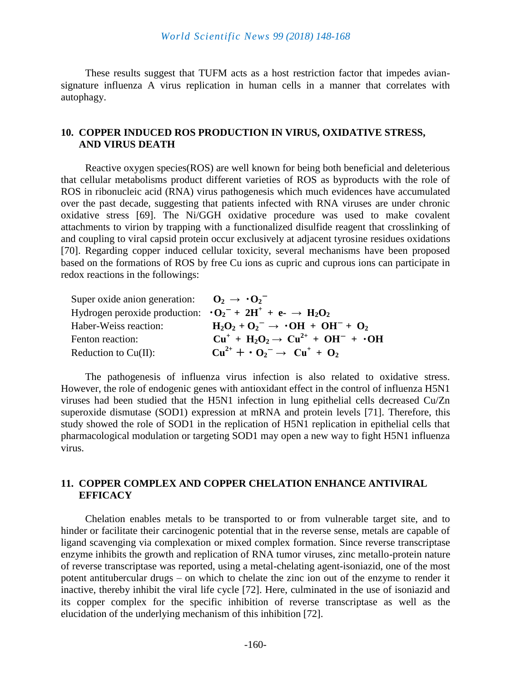These results suggest that TUFM acts as a host restriction factor that impedes aviansignature influenza A virus replication in human cells in a manner that correlates with autophagy.

## **10. COPPER INDUCED ROS PRODUCTION IN VIRUS, OXIDATIVE STRESS, AND VIRUS DEATH**

Reactive oxygen species(ROS) are well known for being both beneficial and deleterious that cellular metabolisms product different varieties of ROS as byproducts with the role of ROS in ribonucleic acid (RNA) virus pathogenesis which much evidences have accumulated over the past decade, suggesting that patients infected with RNA viruses are under chronic oxidative stress [69]. The Ni/GGH oxidative procedure was used to make covalent attachments to virion by trapping with a functionalized disulfide reagent that crosslinking of and coupling to viral capsid protein occur exclusively at adjacent tyrosine residues oxidations [70]. Regarding copper induced cellular toxicity, several mechanisms have been proposed based on the formations of ROS by free Cu ions as cupric and cuprous ions can participate in redox reactions in the followings:

| Super oxide anion generation: $\mathbf{O}_2 \rightarrow \mathbf{O}_2^-$     |                                                    |
|-----------------------------------------------------------------------------|----------------------------------------------------|
| Hydrogen peroxide production: $\cdot O_2^- + 2H^+ + e^- \rightarrow H_2O_2$ |                                                    |
| Haber-Weiss reaction:                                                       | $H_2O_2 + O_2^- \rightarrow \cdot OH + OH^- + O_2$ |
| Fenton reaction:                                                            | $Cu+ + H2O2 \rightarrow Cu2+ + OH- + ·OH$          |
| Reduction to $Cu(II)$ :                                                     | $Cu^{2+} + O_2^- \rightarrow Cu^+ + O_2$           |

The pathogenesis of influenza virus infection is also related to oxidative stress. However, the role of endogenic genes with antioxidant effect in the control of influenza H5N1 viruses had been studied that the H5N1 infection in lung epithelial cells decreased Cu/Zn superoxide dismutase (SOD1) expression at mRNA and protein levels [71]. Therefore, this study showed the role of SOD1 in the replication of H5N1 replication in epithelial cells that pharmacological modulation or targeting SOD1 may open a new way to fight H5N1 influenza virus.

## **11. COPPER COMPLEX AND COPPER CHELATION ENHANCE ANTIVIRAL EFFICACY**

Chelation enables metals to be transported to or from vulnerable target site, and to hinder or facilitate their carcinogenic potential that in the reverse sense, metals are capable of ligand scavenging via complexation or mixed complex formation. Since reverse transcriptase enzyme inhibits the growth and replication of RNA tumor viruses, zinc metallo-protein nature of reverse transcriptase was reported, using a metal-chelating agent-isoniazid, one of the most potent antitubercular drugs – on which to chelate the zinc ion out of the enzyme to render it inactive, thereby inhibit the viral life cycle [72]. Here, culminated in the use of isoniazid and its copper complex for the specific inhibition of reverse transcriptase as well as the elucidation of the underlying mechanism of this inhibition [72].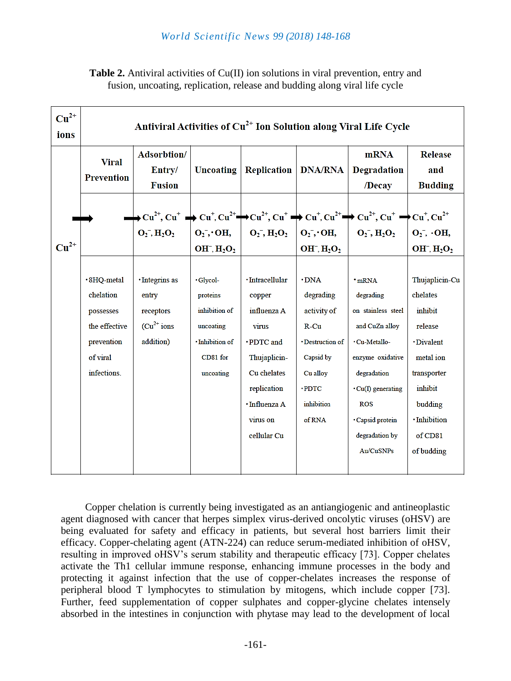| <b>Table 2.</b> Antiviral activities of $Cu(II)$ ion solutions in viral prevention, entry and |  |
|-----------------------------------------------------------------------------------------------|--|
| fusion, uncoating, replication, release and budding along viral life cycle                    |  |

| $Cu2+$<br>ions | Antiviral Activities of Cu <sup>2+</sup> Ion Solution along Viral Life Cycle                    |                                                                      |                                                                                                |                                                                                                                                                          |                                                                                                                                         |                                                                                                                                                                                                                                                                                                                                                                                                                                                        |                                                                                                                                                           |  |  |  |
|----------------|-------------------------------------------------------------------------------------------------|----------------------------------------------------------------------|------------------------------------------------------------------------------------------------|----------------------------------------------------------------------------------------------------------------------------------------------------------|-----------------------------------------------------------------------------------------------------------------------------------------|--------------------------------------------------------------------------------------------------------------------------------------------------------------------------------------------------------------------------------------------------------------------------------------------------------------------------------------------------------------------------------------------------------------------------------------------------------|-----------------------------------------------------------------------------------------------------------------------------------------------------------|--|--|--|
|                | <b>Viral</b><br><b>Prevention</b>                                                               | Adsorbtion/<br>Entry/<br><b>Fusion</b>                               |                                                                                                | Uncoating<br>Replication                                                                                                                                 | <b>DNA/RNA</b>                                                                                                                          | <b>mRNA</b><br>Degradation<br>/Decay                                                                                                                                                                                                                                                                                                                                                                                                                   | <b>Release</b><br>and<br><b>Budding</b>                                                                                                                   |  |  |  |
| $Cu2+$         |                                                                                                 |                                                                      | $OH^-$ , $H_2O_2$                                                                              |                                                                                                                                                          | $OH^-$ , $H_2O_2$                                                                                                                       | $\longrightarrow$ Cu <sup>2+</sup> , Cu <sup>+</sup> $\longrightarrow$ Cu <sup>+</sup> , Cu <sup>2+</sup> $\longrightarrow$ Cu <sup>2+</sup> , Cu <sup>+</sup> $\longrightarrow$ Cu <sup>+</sup> , Cu <sup>2+</sup> $\longrightarrow$ Cu <sup>2+</sup> , Cu <sup>+</sup> $\longrightarrow$ Cu <sup>+</sup> , Cu <sup>2+</sup><br>$O_2^-$ , $H_2O_2$   $O_2^-$ , $O$ H,   $O_2^-$ , $H_2O_2$   $O_2^-$ , $O$ H,   $O_2^-$ , $H_2O_2$   $O_2^-$ , $O$ H, | $OH^-$ , $H_2O_2$                                                                                                                                         |  |  |  |
|                | · 8HQ-metal<br>chelation<br>possesses<br>the effective<br>prevention<br>of viral<br>infections. | · Integrins as<br>entry<br>receptors<br>$(Cu^{2+}$ ions<br>addition) | ·Glycol-<br>proteins<br>inhibition of<br>uncoating<br>· Inhibition of<br>CD81 for<br>uncoating | · Intracellular<br>copper<br>influenza A<br>virus<br>·PDTC and<br>Thujaplicin-<br>Cu chelates<br>replication<br>· Influenza A<br>virus on<br>cellular Cu | $\cdot$ DNA<br>degrading<br>activity of<br>$R$ -Cu<br>· Destruction of<br>Capsid by<br>Cu alloy<br>$\cdot$ PDTC<br>inhibition<br>of RNA | $\cdot$ mRNA<br>degrading<br>on stainless steel<br>and CuZn alloy<br>· Cu-Metallo-<br>enzyme oxidative<br>degradation<br>$\cdot$ Cu(I) generating<br><b>ROS</b><br>· Capsid protein<br>degradation by<br>Au/CuSNPs                                                                                                                                                                                                                                     | Thujaplicin-Cu<br>chelates<br>inhibit<br>release<br>· Divalent<br>metal ion<br>transporter<br>inhibit<br>budding<br>· Inhibition<br>of CD81<br>of budding |  |  |  |

Copper chelation is currently being investigated as an antiangiogenic and antineoplastic agent diagnosed with cancer that herpes simplex virus-derived oncolytic viruses (oHSV) are being evaluated for safety and efficacy in patients, but several host barriers limit their efficacy. Copper-chelating agent (ATN-224) can reduce serum-mediated inhibition of oHSV, resulting in improved oHSV's serum stability and therapeutic efficacy [73]. Copper chelates activate the Th1 cellular immune response, enhancing immune processes in the body and protecting it against infection that the use of copper-chelates increases the response of peripheral blood T lymphocytes to stimulation by mitogens, which include copper [73]. Further, feed supplementation of copper sulphates and copper-glycine chelates intensely absorbed in the intestines in conjunction with phytase may lead to the development of local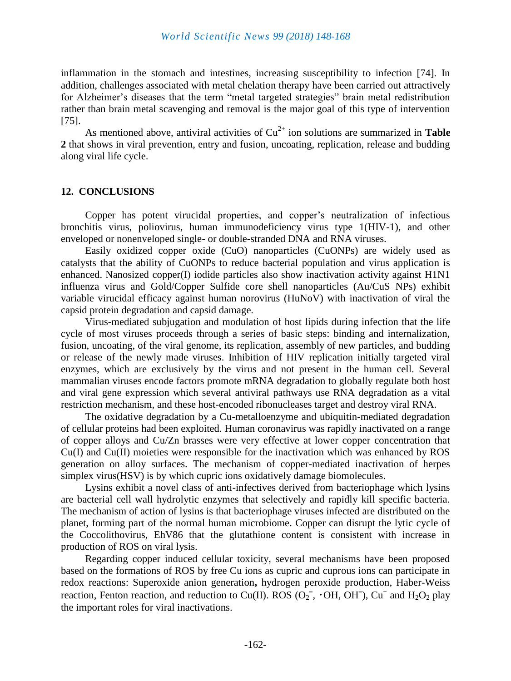inflammation in the stomach and intestines, increasing susceptibility to infection [74]. In addition, challenges associated with metal chelation therapy have been carried out attractively for Alzheimer's diseases that the term "metal targeted strategies" brain metal redistribution rather than brain metal scavenging and removal is the major goal of this type of intervention [75].

As mentioned above, antiviral activities of  $Cu^{2+}$  ion solutions are summarized in **Table 2** that shows in viral prevention, entry and fusion, uncoating, replication, release and budding along viral life cycle.

#### **12. CONCLUSIONS**

Copper has potent virucidal properties, and copper's neutralization of infectious bronchitis virus, poliovirus, human immunodeficiency virus type 1(HIV-1), and other enveloped or nonenveloped single- or double-stranded DNA and RNA viruses.

Easily oxidized copper oxide (CuO) nanoparticles (CuONPs) are widely used as catalysts that the ability of CuONPs to reduce bacterial population and virus application is enhanced. Nanosized copper(I) iodide particles also show inactivation activity against H1N1 influenza virus and Gold/Copper Sulfide core shell nanoparticles (Au/CuS NPs) exhibit variable virucidal efficacy against human norovirus (HuNoV) with inactivation of viral the capsid protein degradation and capsid damage.

Virus-mediated subjugation and modulation of host lipids during infection that the life cycle of most viruses proceeds through a series of basic steps: binding and internalization, fusion, uncoating, of the viral genome, its replication, assembly of new particles, and budding or release of the newly made viruses. Inhibition of HIV replication initially targeted viral enzymes, which are exclusively by the virus and not present in the human cell. Several mammalian viruses encode factors promote mRNA degradation to globally regulate both host and viral gene expression which several antiviral pathways use RNA degradation as a vital restriction mechanism, and these host-encoded ribonucleases target and destroy viral RNA.

The oxidative degradation by a Cu-metalloenzyme and ubiquitin-mediated degradation of cellular proteins had been exploited. Human coronavirus was rapidly inactivated on a range of copper alloys and Cu/Zn brasses were very effective at lower copper concentration that Cu(I) and Cu(II) moieties were responsible for the inactivation which was enhanced by ROS generation on alloy surfaces. The mechanism of copper-mediated inactivation of herpes simplex virus(HSV) is by which cupric ions oxidatively damage biomolecules.

Lysins exhibit a novel class of anti-infectives derived from bacteriophage which lysins are bacterial cell wall hydrolytic enzymes that selectively and rapidly kill specific bacteria. The mechanism of action of lysins is that bacteriophage viruses infected are distributed on the planet, forming part of the normal human microbiome. Copper can disrupt the lytic cycle of the Coccolithovirus, EhV86 that the glutathione content is consistent with increase in production of ROS on viral lysis.

Regarding copper induced cellular toxicity, several mechanisms have been proposed based on the formations of ROS by free Cu ions as cupric and cuprous ions can participate in redox reactions: Superoxide anion generation**,** hydrogen peroxide production, Haber-Weiss reaction, Fenton reaction, and reduction to Cu(II). ROS ( $O_2^-$ ,  $\cdot$ OH, OH<sup>-</sup>), Cu<sup>+</sup> and H<sub>2</sub>O<sub>2</sub> play the important roles for viral inactivations.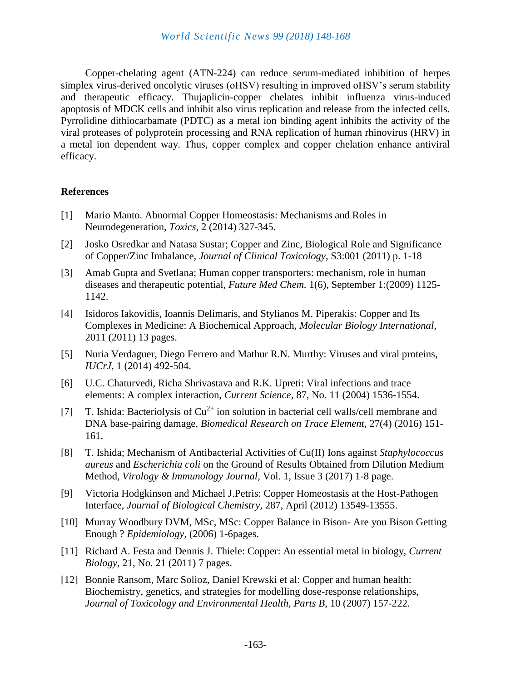Copper-chelating agent (ATN-224) can reduce serum-mediated inhibition of herpes simplex virus-derived oncolytic viruses (oHSV) resulting in improved oHSV's serum stability and therapeutic efficacy. Thujaplicin-copper chelates inhibit influenza virus-induced apoptosis of MDCK cells and inhibit also virus replication and release from the infected cells. Pyrrolidine dithiocarbamate (PDTC) as a metal ion binding agent inhibits the activity of the viral proteases of polyprotein processing and RNA replication of human rhinovirus (HRV) in a metal ion dependent way. Thus, copper complex and copper chelation enhance antiviral efficacy.

## **References**

- [1] Mario Manto. Abnormal Copper Homeostasis: Mechanisms and Roles in Neurodegeneration, *Toxics*, 2 (2014) 327-345.
- [2] Josko Osredkar and Natasa Sustar; Copper and Zinc, Biological Role and Significance of Copper/Zinc Imbalance, *Journal of Clinical Toxicology*, S3:001 (2011) p. 1-18
- [3] Amab Gupta and Svetlana; Human copper transporters: mechanism, role in human diseases and therapeutic potential, *Future Med Chem.* 1(6), September 1:(2009) 1125- 1142.
- [4] Isidoros Iakovidis, Ioannis Delimaris, and Stylianos M. Piperakis: Copper and Its Complexes in Medicine: A Biochemical Approach, *Molecular Biology International,* 2011 (2011) 13 pages.
- [5] Nuria Verdaguer, Diego Ferrero and Mathur R.N. Murthy: Viruses and viral proteins, *IUCrJ,* 1 (2014) 492-504.
- [6] U.C. Chaturvedi, Richa Shrivastava and R.K. Upreti: Viral infections and trace elements: A complex interaction, *Current Science,* 87, No. 11 (2004) 1536-1554.
- [7] T. Ishida: Bacteriolysis of  $Cu^{2+}$  ion solution in bacterial cell walls/cell membrane and DNA base-pairing damage, *Biomedical Research on Trace Element,* 27(4) (2016) 151- 161.
- [8] T. Ishida; Mechanism of Antibacterial Activities of Cu(II) Ions against *Staphylococcus aureus* and *Escherichia coli* on the Ground of Results Obtained from Dilution Medium Method, *Virology & Immunology Journal,* Vol. 1, Issue 3 (2017) 1-8 page.
- [9] Victoria Hodgkinson and Michael J.Petris: Copper Homeostasis at the Host-Pathogen Interface, *Journal of Biological Chemistry,* 287, April (2012) 13549-13555.
- [10] Murray Woodbury DVM, MSc, MSc: Copper Balance in Bison- Are you Bison Getting Enough ? *Epidemiology,* (2006) 1-6pages.
- [11] Richard A. Festa and Dennis J. Thiele: Copper: An essential metal in biology, *Current Biology*, 21, No. 21 (2011) 7 pages.
- [12] Bonnie Ransom, Marc Solioz, Daniel Krewski et al: Copper and human health: Biochemistry, genetics, and strategies for modelling dose-response relationships, *Journal of Toxicology and Environmental Health, Parts B,* 10 (2007) 157-222.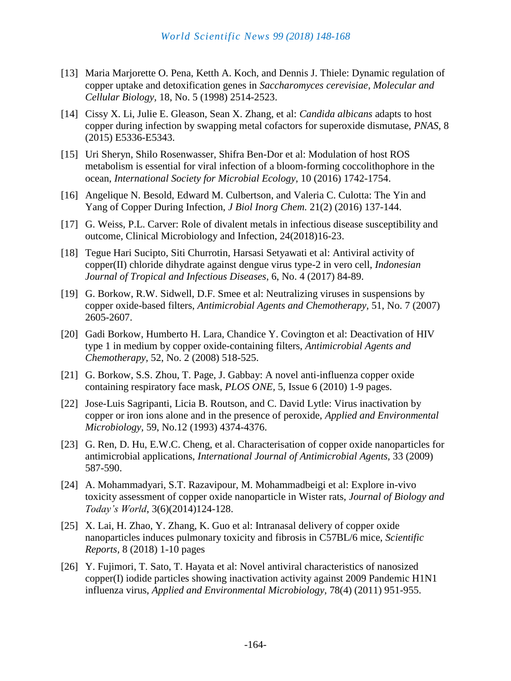- [13] Maria Marjorette O. Pena, Ketth A. Koch, and Dennis J. Thiele: Dynamic regulation of copper uptake and detoxification genes in *Saccharomyces cerevisiae*, *Molecular and Cellular Biology,* 18, No. 5 (1998) 2514-2523.
- [14] Cissy X. Li, Julie E. Gleason, Sean X. Zhang, et al: *Candida albicans* adapts to host copper during infection by swapping metal cofactors for superoxide dismutase, *PNAS,* 8 (2015) E5336-E5343.
- [15] Uri Sheryn, Shilo Rosenwasser, Shifra Ben-Dor et al: Modulation of host ROS metabolism is essential for viral infection of a bloom-forming coccolithophore in the ocean, *International Society for Microbial Ecology,* 10 (2016) 1742-1754.
- [16] Angelique N. Besold, Edward M. Culbertson, and Valeria C. Culotta: The Yin and Yang of Copper During Infection, *J Biol Inorg Chem.* 21(2) (2016) 137-144.
- [17] G. Weiss, P.L. Carver: Role of divalent metals in infectious disease susceptibility and outcome, Clinical Microbiology and Infection, 24(2018)16-23.
- [18] Tegue Hari Sucipto, Siti Churrotin, Harsasi Setyawati et al: Antiviral activity of copper(II) chloride dihydrate against dengue virus type-2 in vero cell, *Indonesian Journal of Tropical and Infectious Diseases*, 6, No. 4 (2017) 84-89.
- [19] G. Borkow, R.W. Sidwell, D.F. Smee et al: Neutralizing viruses in suspensions by copper oxide-based filters, *Antimicrobial Agents and Chemotherapy,* 51, No. 7 (2007) 2605-2607.
- [20] Gadi Borkow, Humberto H. Lara, Chandice Y. Covington et al: Deactivation of HIV type 1 in medium by copper oxide-containing filters, *Antimicrobial Agents and Chemotherapy,* 52, No. 2 (2008) 518-525.
- [21] G. Borkow, S.S. Zhou, T. Page, J. Gabbay: A novel anti-influenza copper oxide containing respiratory face mask, *PLOS ONE,* 5, Issue 6 (2010) 1-9 pages.
- [22] Jose-Luis Sagripanti, Licia B. Routson, and C. David Lytle: Virus inactivation by copper or iron ions alone and in the presence of peroxide, *Applied and Environmental Microbiology,* 59, No.12 (1993) 4374-4376.
- [23] G. Ren, D. Hu, E.W.C. Cheng, et al. Characterisation of copper oxide nanoparticles for antimicrobial applications, *International Journal of Antimicrobial Agents,* 33 (2009) 587-590.
- [24] A. Mohammadyari, S.T. Razavipour, M. Mohammadbeigi et al: Explore in-vivo toxicity assessment of copper oxide nanoparticle in Wister rats, *Journal of Biology and Today's World*, 3(6)(2014)124-128.
- [25] X. Lai, H. Zhao, Y. Zhang, K. Guo et al: Intranasal delivery of copper oxide nanoparticles induces pulmonary toxicity and fibrosis in C57BL/6 mice, *Scientific Reports,* 8 (2018) 1-10 pages
- [26] Y. Fujimori, T. Sato, T. Hayata et al: Novel antiviral characteristics of nanosized copper(I) iodide particles showing inactivation activity against 2009 Pandemic H1N1 influenza virus, *Applied and Environmental Microbiology,* 78(4) (2011) 951-955.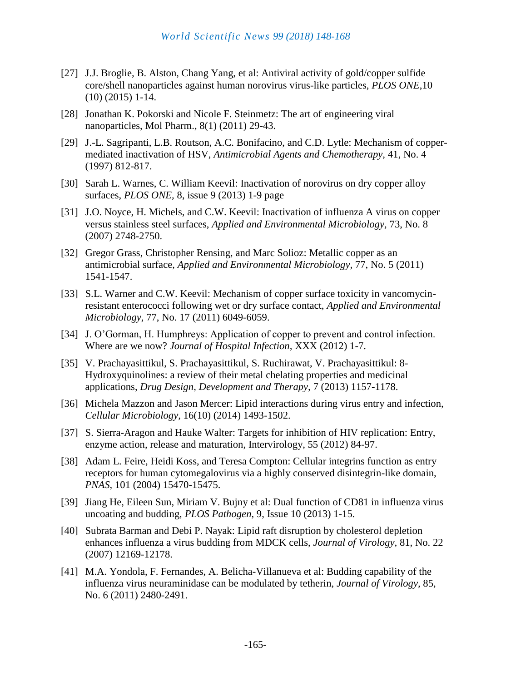- [27] J.J. Broglie, B. Alston, Chang Yang, et al: Antiviral activity of gold/copper sulfide core/shell nanoparticles against human norovirus virus-like particles, *PLOS ONE*,10 (10) (2015) 1-14.
- [28] Jonathan K. Pokorski and Nicole F. Steinmetz: The art of engineering viral nanoparticles, Mol Pharm., 8(1) (2011) 29-43.
- [29] J.-L. Sagripanti, L.B. Routson, A.C. Bonifacino, and C.D. Lytle: Mechanism of coppermediated inactivation of HSV, *Antimicrobial Agents and Chemotherapy,* 41, No. 4 (1997) 812-817.
- [30] Sarah L. Warnes, C. William Keevil: Inactivation of norovirus on dry copper alloy surfaces, *PLOS ONE,* 8, issue 9 (2013) 1-9 page
- [31] J.O. Noyce, H. Michels, and C.W. Keevil: Inactivation of influenza A virus on copper versus stainless steel surfaces, *Applied and Environmental Microbiology,* 73, No. 8 (2007) 2748-2750.
- [32] Gregor Grass, Christopher Rensing, and Marc Solioz: Metallic copper as an antimicrobial surface, *Applied and Environmental Microbiology,* 77, No. 5 (2011) 1541-1547.
- [33] S.L. Warner and C.W. Keevil: Mechanism of copper surface toxicity in vancomycinresistant enterococci following wet or dry surface contact, *Applied and Environmental Microbiology*, 77, No. 17 (2011) 6049-6059.
- [34] J. O'Gorman, H. Humphreys: Application of copper to prevent and control infection. Where are we now? *Journal of Hospital Infection,* XXX (2012) 1-7.
- [35] V. Prachayasittikul, S. Prachayasittikul, S. Ruchirawat, V. Prachayasittikul: 8- Hydroxyquinolines: a review of their metal chelating properties and medicinal applications, *Drug Design, Development and Therapy,* 7 (2013) 1157-1178.
- [36] Michela Mazzon and Jason Mercer: Lipid interactions during virus entry and infection, *Cellular Microbiology,* 16(10) (2014) 1493-1502.
- [37] S. Sierra-Aragon and Hauke Walter: Targets for inhibition of HIV replication: Entry, enzyme action, release and maturation, Intervirology, 55 (2012) 84-97.
- [38] Adam L. Feire, Heidi Koss, and Teresa Compton: Cellular integrins function as entry receptors for human cytomegalovirus via a highly conserved disintegrin-like domain, *PNAS,* 101 (2004) 15470-15475.
- [39] Jiang He, Eileen Sun, Miriam V. Bujny et al: Dual function of CD81 in influenza virus uncoating and budding, *PLOS Pathogen,* 9, Issue 10 (2013) 1-15.
- [40] Subrata Barman and Debi P. Nayak: Lipid raft disruption by cholesterol depletion enhances influenza a virus budding from MDCK cells, *Journal of Virology,* 81, No. 22 (2007) 12169-12178.
- [41] M.A. Yondola, F. Fernandes, A. Belicha-Villanueva et al: Budding capability of the influenza virus neuraminidase can be modulated by tetherin, *Journal of Virology,* 85, No. 6 (2011) 2480-2491.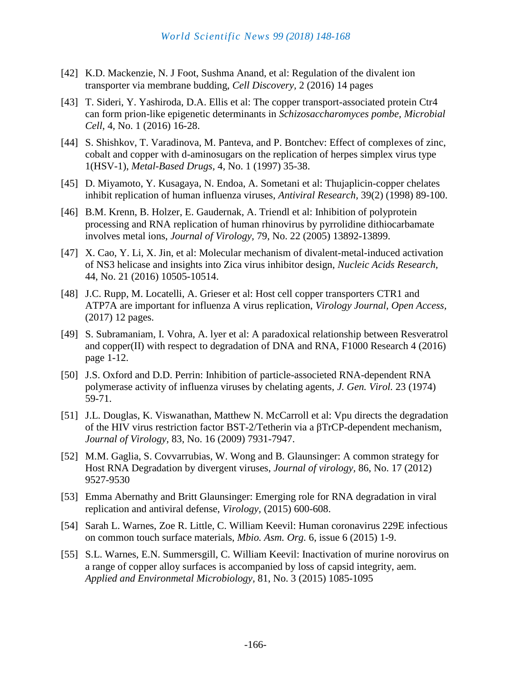- [42] K.D. Mackenzie, N. J Foot, Sushma Anand, et al: Regulation of the divalent ion transporter via membrane budding, *Cell Discovery,* 2 (2016) 14 pages
- [43] T. Sideri, Y. Yashiroda, D.A. Ellis et al: The copper transport-associated protein Ctr4 can form prion-like epigenetic determinants in *Schizosaccharomyces pombe, Microbial Cell*, 4, No. 1 (2016) 16-28.
- [44] S. Shishkov, T. Varadinova, M. Panteva, and P. Bontchev: Effect of complexes of zinc, cobalt and copper with d-aminosugars on the replication of herpes simplex virus type 1(HSV-1), *Metal-Based Drugs,* 4, No. 1 (1997) 35-38.
- [45] D. Miyamoto, Y. Kusagaya, N. Endoa, A. Sometani et al: Thujaplicin-copper chelates inhibit replication of human influenza viruses, *Antiviral Research,* 39(2) (1998) 89-100.
- [46] B.M. Krenn, B. Holzer, E. Gaudernak, A. Triendl et al: Inhibition of polyprotein processing and RNA replication of human rhinovirus by pyrrolidine dithiocarbamate involves metal ions, *Journal of Virology,* 79, No. 22 (2005) 13892-13899.
- [47] X. Cao, Y. Li, X. Jin, et al: Molecular mechanism of divalent-metal-induced activation of NS3 helicase and insights into Zica virus inhibitor design, *Nucleic Acids Research,* 44, No. 21 (2016) 10505-10514.
- [48] J.C. Rupp, M. Locatelli, A. Grieser et al: Host cell copper transporters CTR1 and ATP7A are important for influenza A virus replication, *Virology Journal, Open Access,* (2017) 12 pages.
- [49] S. Subramaniam, I. Vohra, A. lyer et al: A paradoxical relationship between Resveratrol and copper(II) with respect to degradation of DNA and RNA, F1000 Research 4 (2016) page 1-12.
- [50] J.S. Oxford and D.D. Perrin: Inhibition of particle-associeted RNA-dependent RNA polymerase activity of influenza viruses by chelating agents, *J. Gen. Virol.* 23 (1974) 59-71.
- [51] J.L. Douglas, K. Viswanathan, Matthew N. McCarroll et al: Vpu directs the degradation of the HIV virus restriction factor BST-2/Tetherin via a βTrCP-dependent mechanism, *Journal of Virology,* 83, No. 16 (2009) 7931-7947.
- [52] M.M. Gaglia, S. Covvarrubias, W. Wong and B. Glaunsinger: A common strategy for Host RNA Degradation by divergent viruses, *Journal of virology,* 86, No. 17 (2012) 9527-9530
- [53] Emma Abernathy and Britt Glaunsinger: Emerging role for RNA degradation in viral replication and antiviral defense, *Virology,* (2015) 600-608.
- [54] Sarah L. Warnes, Zoe R. Little, C. William Keevil: Human coronavirus 229E infectious on common touch surface materials, *Mbio. Asm. Org.* 6, issue 6 (2015) 1-9.
- [55] S.L. Warnes, E.N. Summersgill, C. William Keevil: Inactivation of murine norovirus on a range of copper alloy surfaces is accompanied by loss of capsid integrity, aem. *Applied and Environmetal Microbiology,* 81, No. 3 (2015) 1085-1095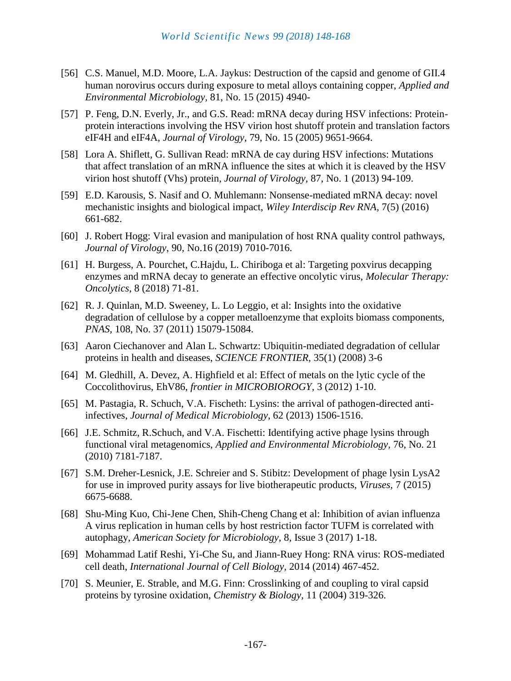- [56] C.S. Manuel, M.D. Moore, L.A. Jaykus: Destruction of the capsid and genome of GII.4 human norovirus occurs during exposure to metal alloys containing copper, *Applied and Environmental Microbiology,* 81, No. 15 (2015) 4940-
- [57] P. Feng, D.N. Everly, Jr., and G.S. Read: mRNA decay during HSV infections: Proteinprotein interactions involving the HSV virion host shutoff protein and translation factors eIF4H and eIF4A, *Journal of Virology,* 79, No. 15 (2005) 9651-9664.
- [58] Lora A. Shiflett, G. Sullivan Read: mRNA de cay during HSV infections: Mutations that affect translation of an mRNA influence the sites at which it is cleaved by the HSV virion host shutoff (Vhs) protein, *Journal of Virology,* 87, No. 1 (2013) 94-109.
- [59] E.D. Karousis, S. Nasif and O. Muhlemann: Nonsense-mediated mRNA decay: novel mechanistic insights and biological impact, *Wiley Interdiscip Rev RNA,* 7(5) (2016) 661-682.
- [60] J. Robert Hogg: Viral evasion and manipulation of host RNA quality control pathways, *Journal of Virology*, 90, No.16 (2019) 7010-7016.
- [61] H. Burgess, A. Pourchet, C.Hajdu, L. Chiriboga et al: Targeting poxvirus decapping enzymes and mRNA decay to generate an effective oncolytic virus, *Molecular Therapy: Oncolytics*, 8 (2018) 71-81.
- [62] R. J. Quinlan, M.D. Sweeney, L. Lo Leggio, et al: Insights into the oxidative degradation of cellulose by a copper metalloenzyme that exploits biomass components, *PNAS,* 108, No. 37 (2011) 15079-15084.
- [63] Aaron Ciechanover and Alan L. Schwartz: Ubiquitin-mediated degradation of cellular proteins in health and diseases, *SCIENCE FRONTIER,* 35(1) (2008) 3-6
- [64] M. Gledhill, A. Devez, A. Highfield et al: Effect of metals on the lytic cycle of the Coccolithovirus, EhV86, *frontier in MICROBIOROGY,* 3 (2012) 1-10.
- [65] M. Pastagia, R. Schuch, V.A. Fischeth: Lysins: the arrival of pathogen-directed antiinfectives, *Journal of Medical Microbiology,* 62 (2013) 1506-1516.
- [66] J.E. Schmitz, R.Schuch, and V.A. Fischetti: Identifying active phage lysins through functional viral metagenomics, *Applied and Environmental Microbiology,* 76, No. 21 (2010) 7181-7187.
- [67] S.M. Dreher-Lesnick, J.E. Schreier and S. Stibitz: Development of phage lysin LysA2 for use in improved purity assays for live biotherapeutic products, *Viruses,* 7 (2015) 6675-6688.
- [68] Shu-Ming Kuo, Chi-Jene Chen, Shih-Cheng Chang et al: Inhibition of avian influenza A virus replication in human cells by host restriction factor TUFM is correlated with autophagy, *American Society for Microbiology,* 8, Issue 3 (2017) 1-18.
- [69] Mohammad Latif Reshi, Yi-Che Su, and Jiann-Ruey Hong: RNA virus: ROS-mediated cell death, *International Journal of Cell Biology,* 2014 (2014) 467-452.
- [70] S. Meunier, E. Strable, and M.G. Finn: Crosslinking of and coupling to viral capsid proteins by tyrosine oxidation, *Chemistry & Biology,* 11 (2004) 319-326.